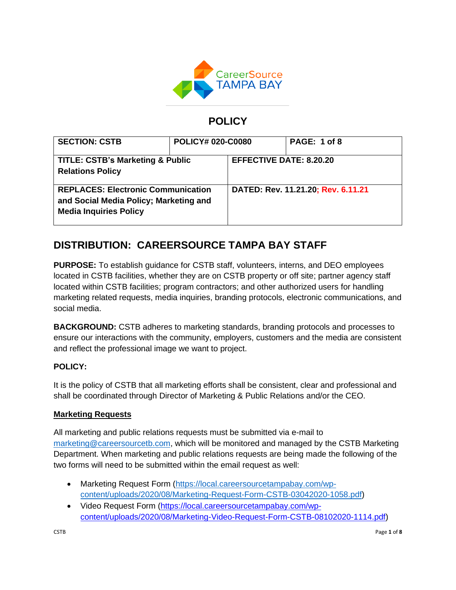

# **POLICY**

| <b>SECTION: CSTB</b>                                                                                                 | <b>POLICY# 020-C0080</b> |                                    | PAGE: 1 of 8 |
|----------------------------------------------------------------------------------------------------------------------|--------------------------|------------------------------------|--------------|
| <b>TITLE: CSTB's Marketing &amp; Public</b><br><b>Relations Policy</b>                                               |                          | <b>EFFECTIVE DATE: 8.20.20</b>     |              |
| <b>REPLACES: Electronic Communication</b><br>and Social Media Policy; Marketing and<br><b>Media Inquiries Policy</b> |                          | DATED: Rev. 11.21.20; Rev. 6.11.21 |              |

# **DISTRIBUTION: CAREERSOURCE TAMPA BAY STAFF**

**PURPOSE:** To establish guidance for CSTB staff, volunteers, interns, and DEO employees located in CSTB facilities, whether they are on CSTB property or off site; partner agency staff located within CSTB facilities; program contractors; and other authorized users for handling marketing related requests, media inquiries, branding protocols, electronic communications, and social media.

**BACKGROUND:** CSTB adheres to marketing standards, branding protocols and processes to ensure our interactions with the community, employers, customers and the media are consistent and reflect the professional image we want to project.

# **POLICY:**

It is the policy of CSTB that all marketing efforts shall be consistent, clear and professional and shall be coordinated through Director of Marketing & Public Relations and/or the CEO.

# **Marketing Requests**

All marketing and public relations requests must be submitted via e-mail to [marketing@careersourcetb.com,](mailto:marketing@careersourcetb.com) which will be monitored and managed by the CSTB Marketing Department. When marketing and public relations requests are being made the following of the two forms will need to be submitted within the email request as well:

- Marketing Request Form [\(https://local.careersourcetampabay.com/wp](https://local.careersourcetampabay.com/wp-content/uploads/2020/08/Marketing-Request-Form-CSTB-03042020-1058.pdf)[content/uploads/2020/08/Marketing-Request-Form-CSTB-03042020-1058.pdf\)](https://local.careersourcetampabay.com/wp-content/uploads/2020/08/Marketing-Request-Form-CSTB-03042020-1058.pdf)
- Video Request Form [\(https://local.careersourcetampabay.com/wp](https://local.careersourcetampabay.com/wp-content/uploads/2020/08/Marketing-Video-Request-Form-CSTB-08102020-1114.pdf)[content/uploads/2020/08/Marketing-Video-Request-Form-CSTB-08102020-1114.pdf\)](https://local.careersourcetampabay.com/wp-content/uploads/2020/08/Marketing-Video-Request-Form-CSTB-08102020-1114.pdf)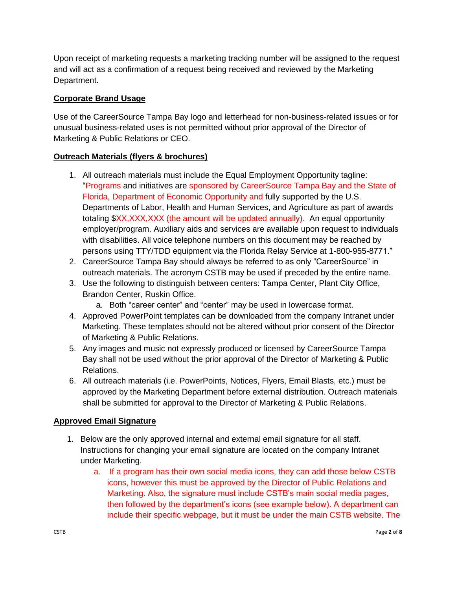Upon receipt of marketing requests a marketing tracking number will be assigned to the request and will act as a confirmation of a request being received and reviewed by the Marketing Department.

## **Corporate Brand Usage**

Use of the CareerSource Tampa Bay logo and letterhead for non-business-related issues or for unusual business-related uses is not permitted without prior approval of the Director of Marketing & Public Relations or CEO.

## **Outreach Materials (flyers & brochures)**

- 1. All outreach materials must include the Equal Employment Opportunity tagline: "Programs and initiatives are sponsored by CareerSource Tampa Bay and the State of Florida, Department of Economic Opportunity and fully supported by the U.S. Departments of Labor, Health and Human Services, and Agriculture as part of awards totaling \$XX,XXX,XXX (the amount will be updated annually). An equal opportunity employer/program. Auxiliary aids and services are available upon request to individuals with disabilities. All voice telephone numbers on this document may be reached by persons using TTY/TDD equipment via the Florida Relay Service at 1-800-955-8771."
- 2. CareerSource Tampa Bay should always be referred to as only "CareerSource" in outreach materials. The acronym CSTB may be used if preceded by the entire name.
- 3. Use the following to distinguish between centers: Tampa Center, Plant City Office, Brandon Center, Ruskin Office.
	- a. Both "career center" and "center" may be used in lowercase format.
- 4. Approved PowerPoint templates can be downloaded from the company Intranet under Marketing. These templates should not be altered without prior consent of the Director of Marketing & Public Relations.
- 5. Any images and music not expressly produced or licensed by CareerSource Tampa Bay shall not be used without the prior approval of the Director of Marketing & Public Relations.
- 6. All outreach materials (i.e. PowerPoints, Notices, Flyers, Email Blasts, etc.) must be approved by the Marketing Department before external distribution. Outreach materials shall be submitted for approval to the Director of Marketing & Public Relations.

# **Approved Email Signature**

- 1. Below are the only approved internal and external email signature for all staff. Instructions for changing your email signature are located on the company Intranet under Marketing.
	- a. If a program has their own social media icons, they can add those below CSTB icons, however this must be approved by the Director of Public Relations and Marketing. Also, the signature must include CSTB's main social media pages, then followed by the department's icons (see example below). A department can include their specific webpage, but it must be under the main CSTB website. The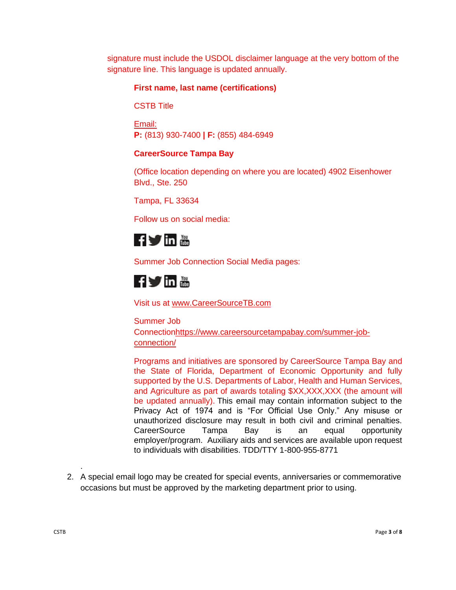signature must include the USDOL disclaimer language at the very bottom of the signature line. This language is updated annually.

## **First name, last name (certifications)**

CSTB Title

Email: **P:** (813) 930-7400 **| F:** (855) 484-6949

### **CareerSource Tampa Bay**

(Office location depending on where you are located) 4902 Eisenhower Blvd., Ste. 250

Tampa, FL 33634

Follow us on social media:



Summer Job Connection Social Media pages:

# **fyin 體**

Visit us at [www.CareerSourceTB.com](http://www.careersourcetb.com/)

Summer Job Connectio[nhttps://www.careersourcetampabay.com/summer-job](https://www.careersourcetampabay.com/summer-job-connection/)[connection/](https://www.careersourcetampabay.com/summer-job-connection/)

Programs and initiatives are sponsored by CareerSource Tampa Bay and the State of Florida, Department of Economic Opportunity and fully supported by the U.S. Departments of Labor, Health and Human Services, and Agriculture as part of awards totaling \$XX,XXX,XXX (the amount will be updated annually). This email may contain information subject to the Privacy Act of 1974 and is "For Official Use Only." Any misuse or unauthorized disclosure may result in both civil and criminal penalties. CareerSource Tampa Bay is an equal opportunity employer/program. Auxiliary aids and services are available upon request to individuals with disabilities. TDD/TTY 1-800-955-8771

2. A special email logo may be created for special events, anniversaries or commemorative occasions but must be approved by the marketing department prior to using.

.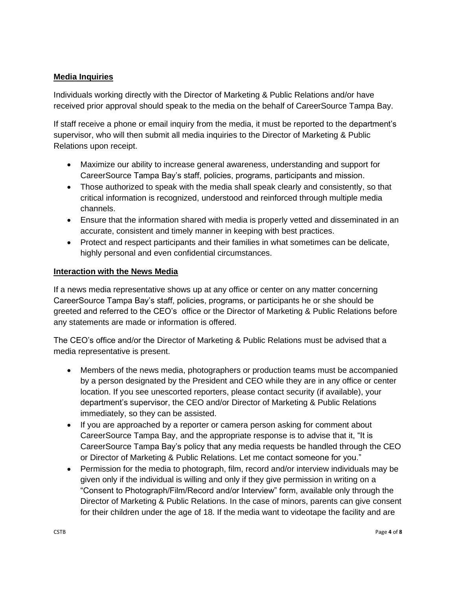# **Media Inquiries**

Individuals working directly with the Director of Marketing & Public Relations and/or have received prior approval should speak to the media on the behalf of CareerSource Tampa Bay.

If staff receive a phone or email inquiry from the media, it must be reported to the department's supervisor, who will then submit all media inquiries to the Director of Marketing & Public Relations upon receipt.

- Maximize our ability to increase general awareness, understanding and support for CareerSource Tampa Bay's staff, policies, programs, participants and mission.
- Those authorized to speak with the media shall speak clearly and consistently, so that critical information is recognized, understood and reinforced through multiple media channels.
- Ensure that the information shared with media is properly vetted and disseminated in an accurate, consistent and timely manner in keeping with best practices.
- Protect and respect participants and their families in what sometimes can be delicate, highly personal and even confidential circumstances.

#### **Interaction with the News Media**

If a news media representative shows up at any office or center on any matter concerning CareerSource Tampa Bay's staff, policies, programs, or participants he or she should be greeted and referred to the CEO's office or the Director of Marketing & Public Relations before any statements are made or information is offered.

The CEO's office and/or the Director of Marketing & Public Relations must be advised that a media representative is present.

- Members of the news media, photographers or production teams must be accompanied by a person designated by the President and CEO while they are in any office or center location. If you see unescorted reporters, please contact security (if available), your department's supervisor, the CEO and/or Director of Marketing & Public Relations immediately, so they can be assisted.
- If you are approached by a reporter or camera person asking for comment about CareerSource Tampa Bay, and the appropriate response is to advise that it, "It is CareerSource Tampa Bay's policy that any media requests be handled through the CEO or Director of Marketing & Public Relations. Let me contact someone for you."
- Permission for the media to photograph, film, record and/or interview individuals may be given only if the individual is willing and only if they give permission in writing on a "Consent to Photograph/Film/Record and/or Interview" form, available only through the Director of Marketing & Public Relations. In the case of minors, parents can give consent for their children under the age of 18. If the media want to videotape the facility and are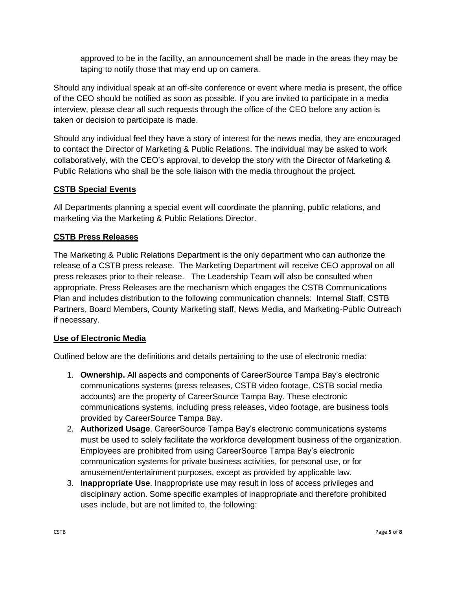approved to be in the facility, an announcement shall be made in the areas they may be taping to notify those that may end up on camera.

Should any individual speak at an off-site conference or event where media is present, the office of the CEO should be notified as soon as possible. If you are invited to participate in a media interview, please clear all such requests through the office of the CEO before any action is taken or decision to participate is made.

Should any individual feel they have a story of interest for the news media, they are encouraged to contact the Director of Marketing & Public Relations. The individual may be asked to work collaboratively, with the CEO's approval, to develop the story with the Director of Marketing & Public Relations who shall be the sole liaison with the media throughout the project.

## **CSTB Special Events**

All Departments planning a special event will coordinate the planning, public relations, and marketing via the Marketing & Public Relations Director.

# **CSTB Press Releases**

The Marketing & Public Relations Department is the only department who can authorize the release of a CSTB press release. The Marketing Department will receive CEO approval on all press releases prior to their release. The Leadership Team will also be consulted when appropriate. Press Releases are the mechanism which engages the CSTB Communications Plan and includes distribution to the following communication channels: Internal Staff, CSTB Partners, Board Members, County Marketing staff, News Media, and Marketing-Public Outreach if necessary.

### **Use of Electronic Media**

Outlined below are the definitions and details pertaining to the use of electronic media:

- 1. **Ownership.** All aspects and components of CareerSource Tampa Bay's electronic communications systems (press releases, CSTB video footage, CSTB social media accounts) are the property of CareerSource Tampa Bay. These electronic communications systems, including press releases, video footage, are business tools provided by CareerSource Tampa Bay.
- 2. **Authorized Usage**. CareerSource Tampa Bay's electronic communications systems must be used to solely facilitate the workforce development business of the organization. Employees are prohibited from using CareerSource Tampa Bay's electronic communication systems for private business activities, for personal use, or for amusement/entertainment purposes, except as provided by applicable law.
- 3. **Inappropriate Use**. Inappropriate use may result in loss of access privileges and disciplinary action. Some specific examples of inappropriate and therefore prohibited uses include, but are not limited to, the following: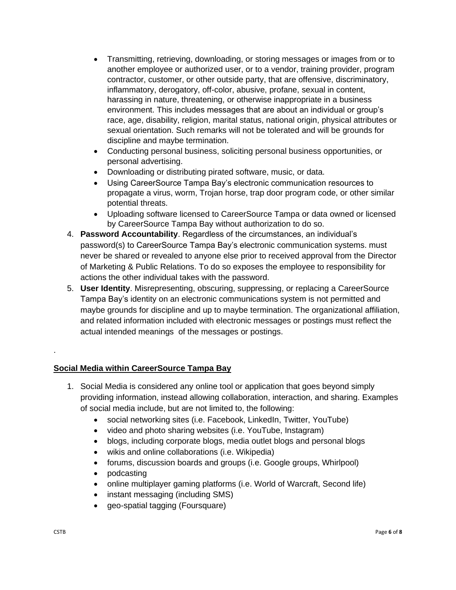- Transmitting, retrieving, downloading, or storing messages or images from or to another employee or authorized user, or to a vendor, training provider, program contractor, customer, or other outside party, that are offensive, discriminatory, inflammatory, derogatory, off-color, abusive, profane, sexual in content, harassing in nature, threatening, or otherwise inappropriate in a business environment. This includes messages that are about an individual or group's race, age, disability, religion, marital status, national origin, physical attributes or sexual orientation. Such remarks will not be tolerated and will be grounds for discipline and maybe termination.
- Conducting personal business, soliciting personal business opportunities, or personal advertising.
- Downloading or distributing pirated software, music, or data.
- Using CareerSource Tampa Bay's electronic communication resources to propagate a virus, worm, Trojan horse, trap door program code, or other similar potential threats.
- Uploading software licensed to CareerSource Tampa or data owned or licensed by CareerSource Tampa Bay without authorization to do so.
- 4. **Password Accountability**. Regardless of the circumstances, an individual's password(s) to CareerSource Tampa Bay's electronic communication systems. must never be shared or revealed to anyone else prior to received approval from the Director of Marketing & Public Relations. To do so exposes the employee to responsibility for actions the other individual takes with the password.
- 5. **User Identity**. Misrepresenting, obscuring, suppressing, or replacing a CareerSource Tampa Bay's identity on an electronic communications system is not permitted and maybe grounds for discipline and up to maybe termination. The organizational affiliation, and related information included with electronic messages or postings must reflect the actual intended meanings of the messages or postings.

# **Social Media within CareerSource Tampa Bay**

- 1. Social Media is considered any online tool or application that goes beyond simply providing information, instead allowing collaboration, interaction, and sharing. Examples of social media include, but are not limited to, the following:
	- social networking sites (i.e. Facebook, LinkedIn, Twitter, YouTube)
	- video and photo sharing websites (i.e. YouTube, Instagram)
	- blogs, including corporate blogs, media outlet blogs and personal blogs
	- wikis and online collaborations (i.e. Wikipedia)
	- forums, discussion boards and groups (i.e. Google groups, Whirlpool)
	- podcasting
	- online multiplayer gaming platforms (i.e. World of Warcraft, Second life)
	- instant messaging (including SMS)
	- geo-spatial tagging (Foursquare)

.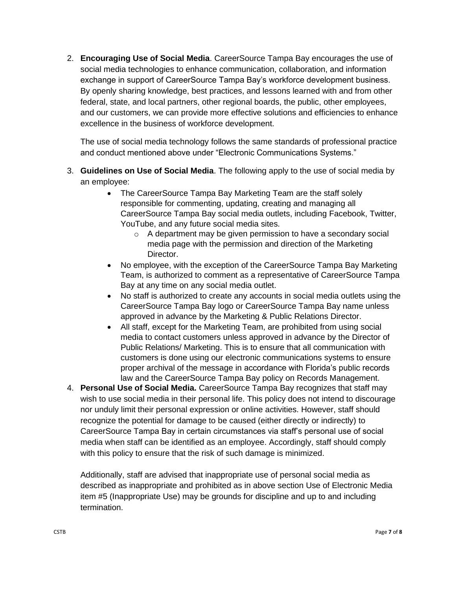2. **Encouraging Use of Social Media**. CareerSource Tampa Bay encourages the use of social media technologies to enhance communication, collaboration, and information exchange in support of CareerSource Tampa Bay's workforce development business. By openly sharing knowledge, best practices, and lessons learned with and from other federal, state, and local partners, other regional boards, the public, other employees, and our customers, we can provide more effective solutions and efficiencies to enhance excellence in the business of workforce development.

The use of social media technology follows the same standards of professional practice and conduct mentioned above under "Electronic Communications Systems."

- 3. **Guidelines on Use of Social Media**. The following apply to the use of social media by an employee:
	- The CareerSource Tampa Bay Marketing Team are the staff solely responsible for commenting, updating, creating and managing all CareerSource Tampa Bay social media outlets, including Facebook, Twitter, YouTube, and any future social media sites.
		- o A department may be given permission to have a secondary social media page with the permission and direction of the Marketing Director.
	- No employee, with the exception of the CareerSource Tampa Bay Marketing Team, is authorized to comment as a representative of CareerSource Tampa Bay at any time on any social media outlet.
	- No staff is authorized to create any accounts in social media outlets using the CareerSource Tampa Bay logo or CareerSource Tampa Bay name unless approved in advance by the Marketing & Public Relations Director.
	- All staff, except for the Marketing Team, are prohibited from using social media to contact customers unless approved in advance by the Director of Public Relations/ Marketing. This is to ensure that all communication with customers is done using our electronic communications systems to ensure proper archival of the message in accordance with Florida's public records law and the CareerSource Tampa Bay policy on Records Management.
- 4. **Personal Use of Social Media.** CareerSource Tampa Bay recognizes that staff may wish to use social media in their personal life. This policy does not intend to discourage nor unduly limit their personal expression or online activities. However, staff should recognize the potential for damage to be caused (either directly or indirectly) to CareerSource Tampa Bay in certain circumstances via staff's personal use of social media when staff can be identified as an employee. Accordingly, staff should comply with this policy to ensure that the risk of such damage is minimized.

Additionally, staff are advised that inappropriate use of personal social media as described as inappropriate and prohibited as in above section Use of Electronic Media item #5 (Inappropriate Use) may be grounds for discipline and up to and including termination.